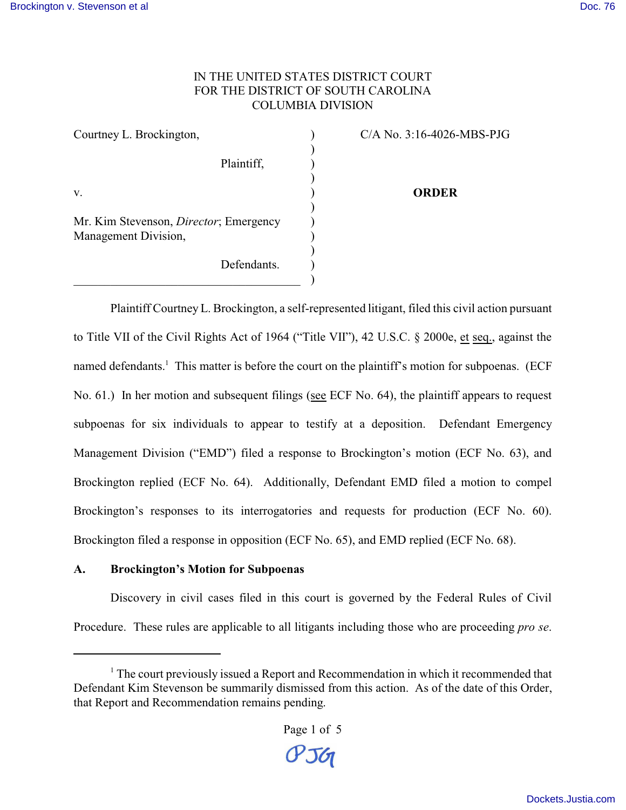## IN THE UNITED STATES DISTRICT COURT FOR THE DISTRICT OF SOUTH CAROLINA COLUMBIA DIVISION

| Courtney L. Brockington,                                               |  |
|------------------------------------------------------------------------|--|
| Plaintiff,                                                             |  |
| V.                                                                     |  |
| Mr. Kim Stevenson, <i>Director</i> ; Emergency<br>Management Division, |  |
| Defendants.                                                            |  |

C/A No. 3:16-4026-MBS-PJG

**ORDER**

Plaintiff Courtney L. Brockington, a self-represented litigant, filed this civil action pursuant to Title VII of the Civil Rights Act of 1964 ("Title VII"), 42 U.S.C. § 2000e, et seq., against the named defendants.<sup>1</sup> This matter is before the court on the plaintiff's motion for subpoenas. (ECF No. 61.) In her motion and subsequent filings (see ECF No. 64), the plaintiff appears to request subpoenas for six individuals to appear to testify at a deposition. Defendant Emergency Management Division ("EMD") filed a response to Brockington's motion (ECF No. 63), and Brockington replied (ECF No. 64). Additionally, Defendant EMD filed a motion to compel Brockington's responses to its interrogatories and requests for production (ECF No. 60). Brockington filed a response in opposition (ECF No. 65), and EMD replied (ECF No. 68).

## **A. Brockington's Motion for Subpoenas**

Discovery in civil cases filed in this court is governed by the Federal Rules of Civil Procedure. These rules are applicable to all litigants including those who are proceeding *pro se*.

<sup>&</sup>lt;sup>1</sup> The court previously issued a Report and Recommendation in which it recommended that Defendant Kim Stevenson be summarily dismissed from this action. As of the date of this Order, that Report and Recommendation remains pending.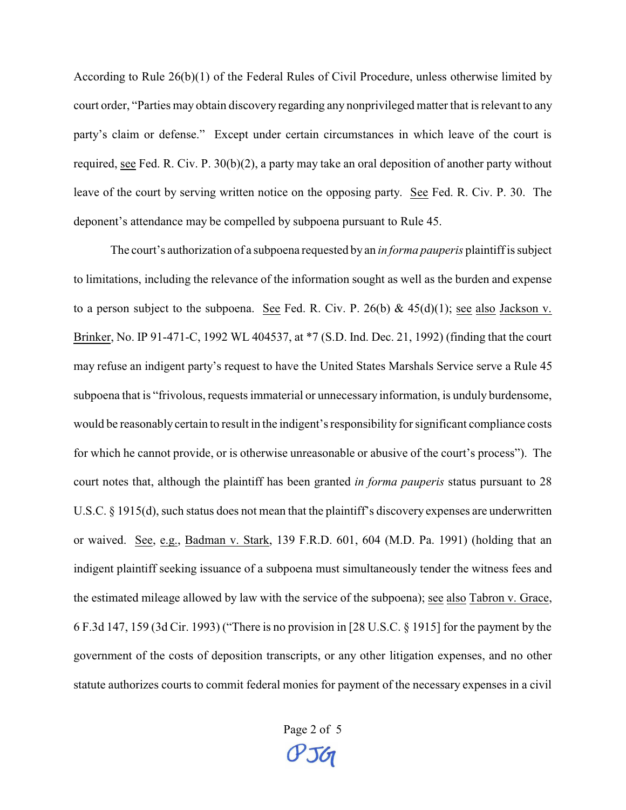According to Rule 26(b)(1) of the Federal Rules of Civil Procedure, unless otherwise limited by court order, "Parties may obtain discovery regarding any nonprivileged matter that is relevant to any party's claim or defense." Except under certain circumstances in which leave of the court is required, see Fed. R. Civ. P. 30(b)(2), a party may take an oral deposition of another party without leave of the court by serving written notice on the opposing party. See Fed. R. Civ. P. 30. The deponent's attendance may be compelled by subpoena pursuant to Rule 45.

The court's authorization of a subpoena requested by an *in forma pauperis* plaintiff is subject to limitations, including the relevance of the information sought as well as the burden and expense to a person subject to the subpoena. See Fed. R. Civ. P. 26(b) &  $45(d)(1)$ ; see also Jackson v. Brinker, No. IP 91-471-C, 1992 WL 404537, at \*7 (S.D. Ind. Dec. 21, 1992) (finding that the court may refuse an indigent party's request to have the United States Marshals Service serve a Rule 45 subpoena that is "frivolous, requests immaterial or unnecessary information, is unduly burdensome, would be reasonably certain to result in the indigent's responsibility for significant compliance costs for which he cannot provide, or is otherwise unreasonable or abusive of the court's process"). The court notes that, although the plaintiff has been granted *in forma pauperis* status pursuant to 28 U.S.C. § 1915(d), such status does not mean that the plaintiff's discovery expenses are underwritten or waived. See, e.g., Badman v. Stark, 139 F.R.D. 601, 604 (M.D. Pa. 1991) (holding that an indigent plaintiff seeking issuance of a subpoena must simultaneously tender the witness fees and the estimated mileage allowed by law with the service of the subpoena); see also Tabron v. Grace, 6 F.3d 147, 159 (3d Cir. 1993) ("There is no provision in [28 U.S.C. § 1915] for the payment by the government of the costs of deposition transcripts, or any other litigation expenses, and no other statute authorizes courts to commit federal monies for payment of the necessary expenses in a civil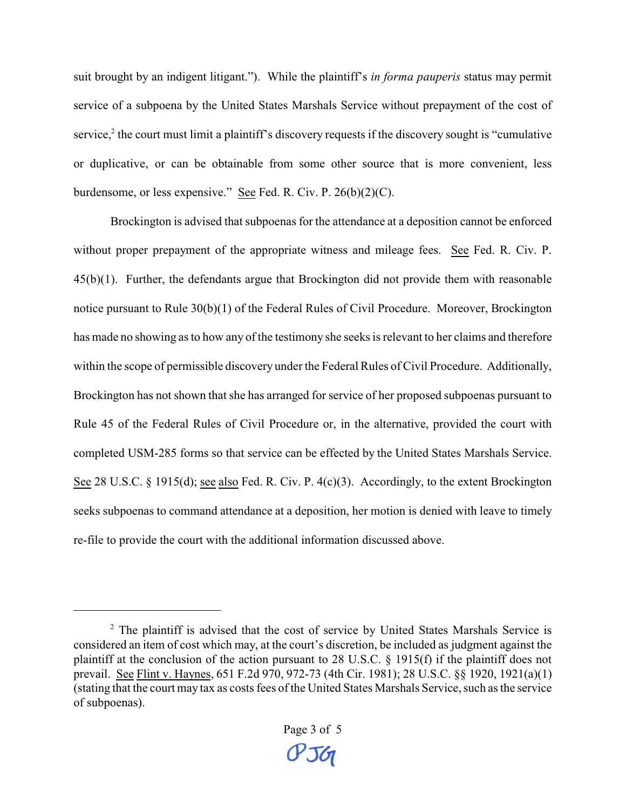suit brought by an indigent litigant."). While the plaintiff's *in forma pauperis* status may permit service of a subpoena by the United States Marshals Service without prepayment of the cost of service,<sup>2</sup> the court must limit a plaintiff's discovery requests if the discovery sought is "cumulative or duplicative, or can be obtainable from some other source that is more convenient, less burdensome, or less expensive." See Fed. R. Civ. P. 26(b)(2)(C).

Brockington is advised that subpoenas for the attendance at a deposition cannot be enforced without proper prepayment of the appropriate witness and mileage fees. See Fed. R. Civ. P. 45(b)(1). Further, the defendants argue that Brockington did not provide them with reasonable notice pursuant to Rule 30(b)(1) of the Federal Rules of Civil Procedure. Moreover, Brockington has made no showing as to how any of the testimony she seeks is relevant to her claims and therefore within the scope of permissible discovery under the Federal Rules of Civil Procedure. Additionally, Brockington has not shown that she has arranged for service of her proposed subpoenas pursuant to Rule 45 of the Federal Rules of Civil Procedure or, in the alternative, provided the court with completed USM-285 forms so that service can be effected by the United States Marshals Service. See 28 U.S.C. § 1915(d); see also Fed. R. Civ. P. 4(c)(3). Accordingly, to the extent Brockington seeks subpoenas to command attendance at a deposition, her motion is denied with leave to timely re-file to provide the court with the additional information discussed above.

<sup>&</sup>lt;sup>2</sup> The plaintiff is advised that the cost of service by United States Marshals Service is considered an item of cost which may, at the court's discretion, be included as judgment against the plaintiff at the conclusion of the action pursuant to 28 U.S.C. § 1915(f) if the plaintiff does not prevail. See Flint v. Haynes, 651 F.2d 970, 972-73 (4th Cir. 1981); 28 U.S.C. §§ 1920, 1921(a)(1) (stating that the court may tax as costs fees of the United States Marshals Service, such as the service of subpoenas).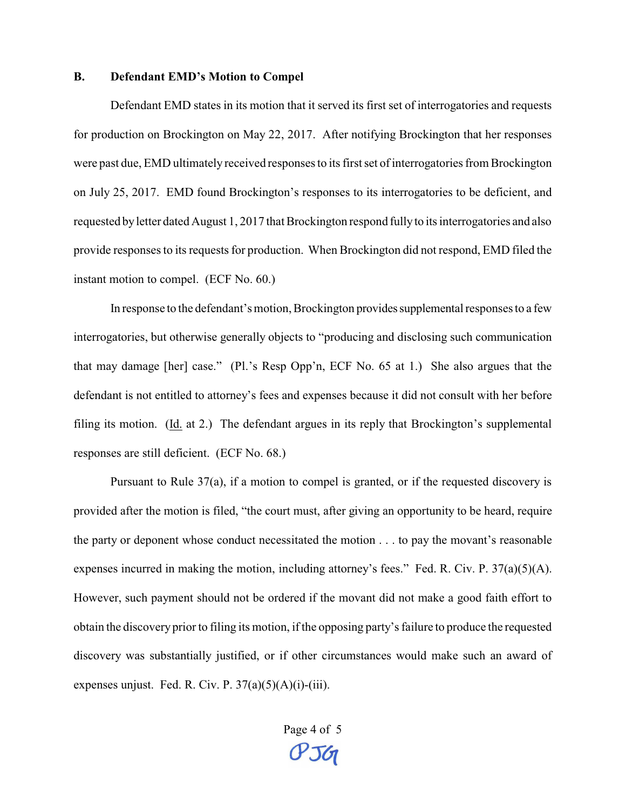## **B. Defendant EMD's Motion to Compel**

Defendant EMD states in its motion that it served its first set of interrogatories and requests for production on Brockington on May 22, 2017. After notifying Brockington that her responses were past due, EMD ultimately received responses to its first set of interrogatories from Brockington on July 25, 2017. EMD found Brockington's responses to its interrogatories to be deficient, and requested by letter dated August 1, 2017 that Brockington respond fully to its interrogatories and also provide responses to its requests for production. When Brockington did not respond, EMD filed the instant motion to compel. (ECF No. 60.)

In response to the defendant's motion, Brockington provides supplemental responses to a few interrogatories, but otherwise generally objects to "producing and disclosing such communication that may damage [her] case." (Pl.'s Resp Opp'n, ECF No. 65 at 1.) She also argues that the defendant is not entitled to attorney's fees and expenses because it did not consult with her before filing its motion. (Id. at 2.) The defendant argues in its reply that Brockington's supplemental responses are still deficient. (ECF No. 68.)

Pursuant to Rule 37(a), if a motion to compel is granted, or if the requested discovery is provided after the motion is filed, "the court must, after giving an opportunity to be heard, require the party or deponent whose conduct necessitated the motion . . . to pay the movant's reasonable expenses incurred in making the motion, including attorney's fees." Fed. R. Civ. P. 37(a)(5)(A). However, such payment should not be ordered if the movant did not make a good faith effort to obtain the discovery prior to filing its motion, if the opposing party's failure to produce the requested discovery was substantially justified, or if other circumstances would make such an award of expenses unjust. Fed. R. Civ. P.  $37(a)(5)(A)(i)$ -(iii).

> Page 4 of 5 $P56$